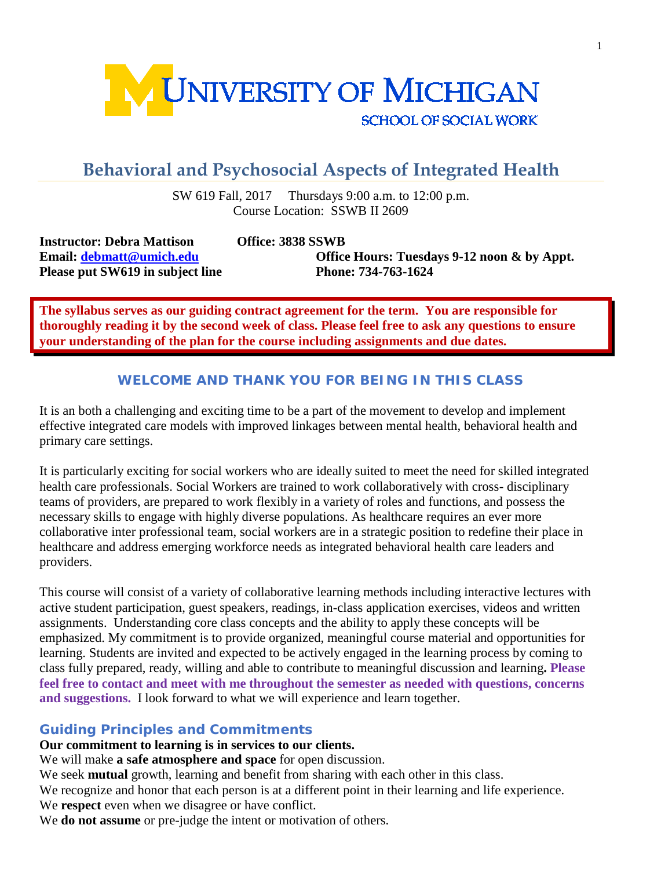

# **Behavioral and Psychosocial Aspects of Integrated Health**

SW 619 Fall, 2017 Thursdays 9:00 a.m. to 12:00 p.m. Course Location: SSWB II 2609

**Instructor: Debra Mattison Office: 3838 SSWB Please put SW619 in subject line Phone: 734-763-1624**

**Email: [debmatt@umich.edu](mailto:debmatt@umich.edu) Office Hours: Tuesdays 9-12 noon & by Appt.**

**The syllabus serves as our guiding contract agreement for the term. You are responsible for thoroughly reading it by the second week of class. Please feel free to ask any questions to ensure your understanding of the plan for the course including assignments and due dates.** 

# **WELCOME AND THANK YOU FOR BEING IN THIS CLASS**

It is an both a challenging and exciting time to be a part of the movement to develop and implement effective integrated care models with improved linkages between mental health, behavioral health and primary care settings.

It is particularly exciting for social workers who are ideally suited to meet the need for skilled integrated health care professionals. Social Workers are trained to work collaboratively with cross- disciplinary teams of providers, are prepared to work flexibly in a variety of roles and functions, and possess the necessary skills to engage with highly diverse populations. As healthcare requires an ever more collaborative inter professional team, social workers are in a strategic position to redefine their place in healthcare and address emerging workforce needs as integrated behavioral health care leaders and providers.

This course will consist of a variety of collaborative learning methods including interactive lectures with active student participation, guest speakers, readings, in-class application exercises, videos and written assignments. Understanding core class concepts and the ability to apply these concepts will be emphasized. My commitment is to provide organized, meaningful course material and opportunities for learning. Students are invited and expected to be actively engaged in the learning process by coming to class fully prepared, ready, willing and able to contribute to meaningful discussion and learning**. Please feel free to contact and meet with me throughout the semester as needed with questions, concerns and suggestions.** I look forward to what we will experience and learn together.

# **Guiding Principles and Commitments**

**Our commitment to learning is in services to our clients.**

We will make **a safe atmosphere and space** for open discussion.

We seek **mutual** growth, learning and benefit from sharing with each other in this class.

We recognize and honor that each person is at a different point in their learning and life experience.

We **respect** even when we disagree or have conflict.

We **do not assume** or pre-judge the intent or motivation of others.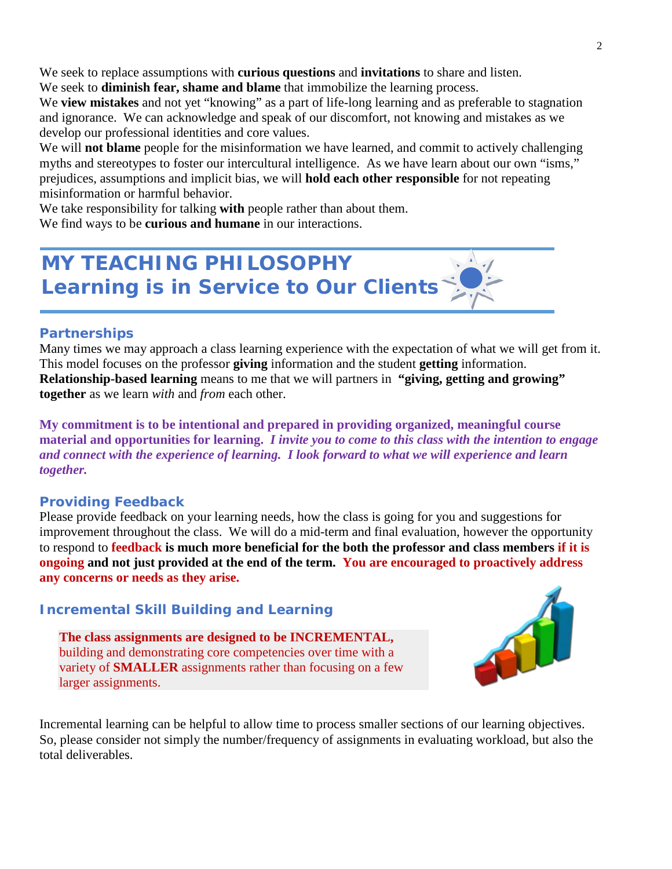We seek to replace assumptions with **curious questions** and **invitations** to share and listen.

We seek to **diminish fear, shame and blame** that immobilize the learning process.

We **view mistakes** and not yet "knowing" as a part of life-long learning and as preferable to stagnation and ignorance. We can acknowledge and speak of our discomfort, not knowing and mistakes as we develop our professional identities and core values.

We will **not blame** people for the misinformation we have learned, and commit to actively challenging myths and stereotypes to foster our intercultural intelligence. As we have learn about our own "isms," prejudices, assumptions and implicit bias, we will **hold each other responsible** for not repeating misinformation or harmful behavior.

We take responsibility for talking **with** people rather than about them. We find ways to be **curious and humane** in our interactions.

# **MY TEACHING PHILOSOPHY Learning is in Service to Our Clients**

# **Partnerships**

Many times we may approach a class learning experience with the expectation of what we will get from it. This model focuses on the professor **giving** information and the student **getting** information. **Relationship-based learning** means to me that we will partners in **"giving, getting and growing" together** as we learn *with* and *from* each other.

**My commitment is to be intentional and prepared in providing organized, meaningful course material and opportunities for learning.** *I invite you to come to this class with the intention to engage and connect with the experience of learning. I look forward to what we will experience and learn together.*

# **Providing Feedback**

Please provide feedback on your learning needs, how the class is going for you and suggestions for improvement throughout the class. We will do a mid-term and final evaluation, however the opportunity to respond to **feedback is much more beneficial for the both the professor and class members if it is ongoing and not just provided at the end of the term. You are encouraged to proactively address any concerns or needs as they arise.**

# **Incremental Skill Building and Learning**

**The class assignments are designed to be INCREMENTAL,** building and demonstrating core competencies over time with a variety of **SMALLER** assignments rather than focusing on a few larger assignments.



Incremental learning can be helpful to allow time to process smaller sections of our learning objectives. So, please consider not simply the number/frequency of assignments in evaluating workload, but also the total deliverables.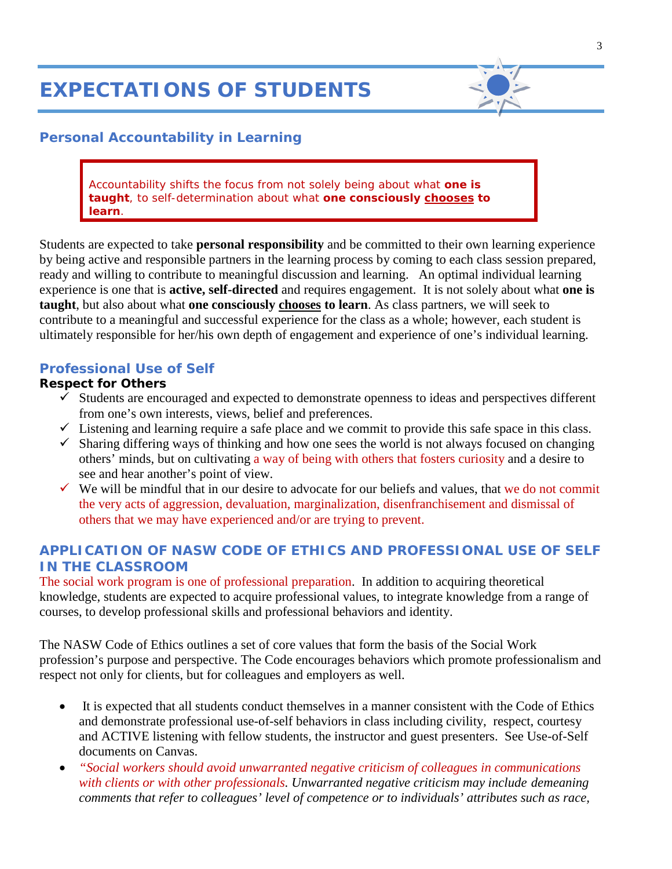# **EXPECTATIONS OF STUDENTS**



# **Personal Accountability in Learning**

Accountability shifts the focus from *not solely* being *about* what *one is taught,* to self-determination about what **one** *consciously chooses to learn.*

Students are expected to take **personal responsibility** and be committed to their own learning experience by being active and responsible partners in the learning process by coming to each class session prepared, ready and willing to contribute to meaningful discussion and learning. An optimal individual learning experience is one that is **active, self-directed** and requires engagement. It is not solely about what **one is taught**, but also about what **one consciously chooses to learn**. As class partners, we will seek to contribute to a meaningful and successful experience for the class as a whole; however, each student is ultimately responsible for her/his own depth of engagement and experience of one's individual learning.

#### **Professional Use of Self**

#### **Respect for Others**

- $\checkmark$  Students are encouraged and expected to demonstrate openness to ideas and perspectives different from one's own interests, views, belief and preferences.
- $\checkmark$  Listening and learning require a safe place and we commit to provide this safe space in this class.
- $\checkmark$  Sharing differing ways of thinking and how one sees the world is not always focused on changing others' minds, but on cultivating a way of being with others that fosters curiosity and a desire to see and hear another's point of view.
- $\checkmark$  We will be mindful that in our desire to advocate for our beliefs and values, that we do not commit the very acts of aggression, devaluation, marginalization, disenfranchisement and dismissal of others that we may have experienced and/or are trying to prevent.

# **APPLICATION OF NASW CODE OF ETHICS AND PROFESSIONAL USE OF SELF IN THE CLASSROOM**

The social work program is one of professional preparation. In addition to acquiring theoretical knowledge, students are expected to acquire professional values, to integrate knowledge from a range of courses, to develop professional skills and professional behaviors and identity.

The NASW Code of Ethics outlines a set of core values that form the basis of the Social Work profession's purpose and perspective. The Code encourages behaviors which promote professionalism and respect not only for clients, but for colleagues and employers as well.

- It is expected that all students conduct themselves in a manner consistent with the Code of Ethics and demonstrate professional use-of-self behaviors in class including civility, respect, courtesy and ACTIVE listening with fellow students, the instructor and guest presenters. See Use-of-Self documents on Canvas.
- *"Social workers should avoid unwarranted negative criticism of colleagues in communications with clients or with other professionals. Unwarranted negative criticism may include demeaning comments that refer to colleagues' level of competence or to individuals' attributes such as race,*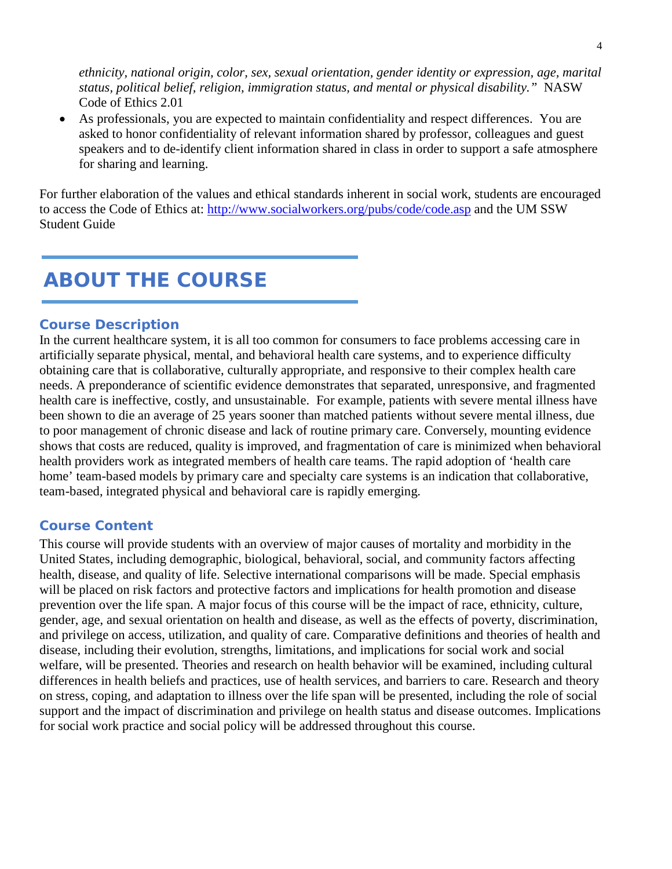*ethnicity, national origin, color, sex, sexual orientation, gender identity or expression, age, marital status, political belief, religion, immigration status, and mental or physical disability."* NASW Code of Ethics 2.01

• As professionals, you are expected to maintain confidentiality and respect differences. You are asked to honor confidentiality of relevant information shared by professor, colleagues and guest speakers and to de-identify client information shared in class in order to support a safe atmosphere for sharing and learning.

For further elaboration of the values and ethical standards inherent in social work, students are encouraged to access the Code of Ethics at:<http://www.socialworkers.org/pubs/code/code.asp> and the UM SSW Student Guide

# **ABOUT THE COURSE**

#### **Course Description**

In the current healthcare system, it is all too common for consumers to face problems accessing care in artificially separate physical, mental, and behavioral health care systems, and to experience difficulty obtaining care that is collaborative, culturally appropriate, and responsive to their complex health care needs. A preponderance of scientific evidence demonstrates that separated, unresponsive, and fragmented health care is ineffective, costly, and unsustainable. For example, patients with severe mental illness have been shown to die an average of 25 years sooner than matched patients without severe mental illness, due to poor management of chronic disease and lack of routine primary care. Conversely, mounting evidence shows that costs are reduced, quality is improved, and fragmentation of care is minimized when behavioral health providers work as integrated members of health care teams. The rapid adoption of 'health care home' team-based models by primary care and specialty care systems is an indication that collaborative, team-based, integrated physical and behavioral care is rapidly emerging.

#### **Course Content**

This course will provide students with an overview of major causes of mortality and morbidity in the United States, including demographic, biological, behavioral, social, and community factors affecting health, disease, and quality of life. Selective international comparisons will be made. Special emphasis will be placed on risk factors and protective factors and implications for health promotion and disease prevention over the life span. A major focus of this course will be the impact of race, ethnicity, culture, gender, age, and sexual orientation on health and disease, as well as the effects of poverty, discrimination, and privilege on access, utilization, and quality of care. Comparative definitions and theories of health and disease, including their evolution, strengths, limitations, and implications for social work and social welfare, will be presented. Theories and research on health behavior will be examined, including cultural differences in health beliefs and practices, use of health services, and barriers to care. Research and theory on stress, coping, and adaptation to illness over the life span will be presented, including the role of social support and the impact of discrimination and privilege on health status and disease outcomes. Implications for social work practice and social policy will be addressed throughout this course.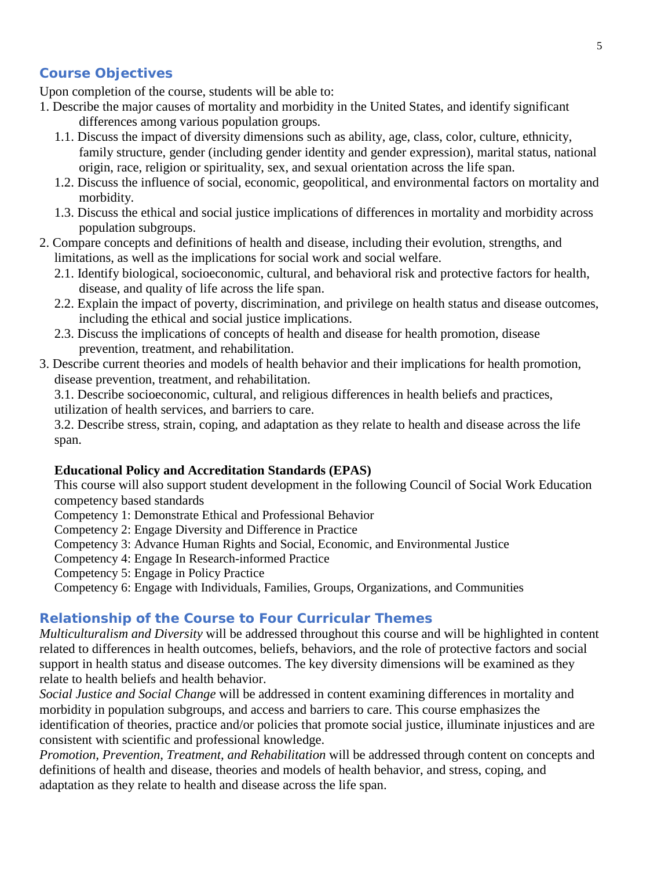# **Course Objectives**

Upon completion of the course, students will be able to:

- 1. Describe the major causes of mortality and morbidity in the United States, and identify significant differences among various population groups.
	- 1.1. Discuss the impact of diversity dimensions such as ability, age, class, color, culture, ethnicity, family structure, gender (including gender identity and gender expression), marital status, national origin, race, religion or spirituality, sex, and sexual orientation across the life span.
	- 1.2. Discuss the influence of social, economic, geopolitical, and environmental factors on mortality and morbidity.
	- 1.3. Discuss the ethical and social justice implications of differences in mortality and morbidity across population subgroups.
- 2. Compare concepts and definitions of health and disease, including their evolution, strengths, and limitations, as well as the implications for social work and social welfare.
	- 2.1. Identify biological, socioeconomic, cultural, and behavioral risk and protective factors for health, disease, and quality of life across the life span.
	- 2.2. Explain the impact of poverty, discrimination, and privilege on health status and disease outcomes, including the ethical and social justice implications.
	- 2.3. Discuss the implications of concepts of health and disease for health promotion, disease prevention, treatment, and rehabilitation.
- 3. Describe current theories and models of health behavior and their implications for health promotion, disease prevention, treatment, and rehabilitation.

3.1. Describe socioeconomic, cultural, and religious differences in health beliefs and practices, utilization of health services, and barriers to care.

3.2. Describe stress, strain, coping, and adaptation as they relate to health and disease across the life span.

### **Educational Policy and Accreditation Standards (EPAS)**

This course will also support student development in the following Council of Social Work Education competency based standards

- Competency 1: Demonstrate Ethical and Professional Behavior
- Competency 2: Engage Diversity and Difference in Practice
- Competency 3: Advance Human Rights and Social, Economic, and Environmental Justice
- Competency 4: Engage In Research-informed Practice
- Competency 5: Engage in Policy Practice
- Competency 6: Engage with Individuals, Families, Groups, Organizations, and Communities

#### **Relationship of the Course to Four Curricular Themes**

*Multiculturalism and Diversity* will be addressed throughout this course and will be highlighted in content related to differences in health outcomes, beliefs, behaviors, and the role of protective factors and social support in health status and disease outcomes. The key diversity dimensions will be examined as they relate to health beliefs and health behavior.

*Social Justice and Social Change* will be addressed in content examining differences in mortality and morbidity in population subgroups, and access and barriers to care. This course emphasizes the identification of theories, practice and/or policies that promote social justice, illuminate injustices and are consistent with scientific and professional knowledge.

*Promotion, Prevention, Treatment, and Rehabilitation* will be addressed through content on concepts and definitions of health and disease, theories and models of health behavior, and stress, coping, and adaptation as they relate to health and disease across the life span.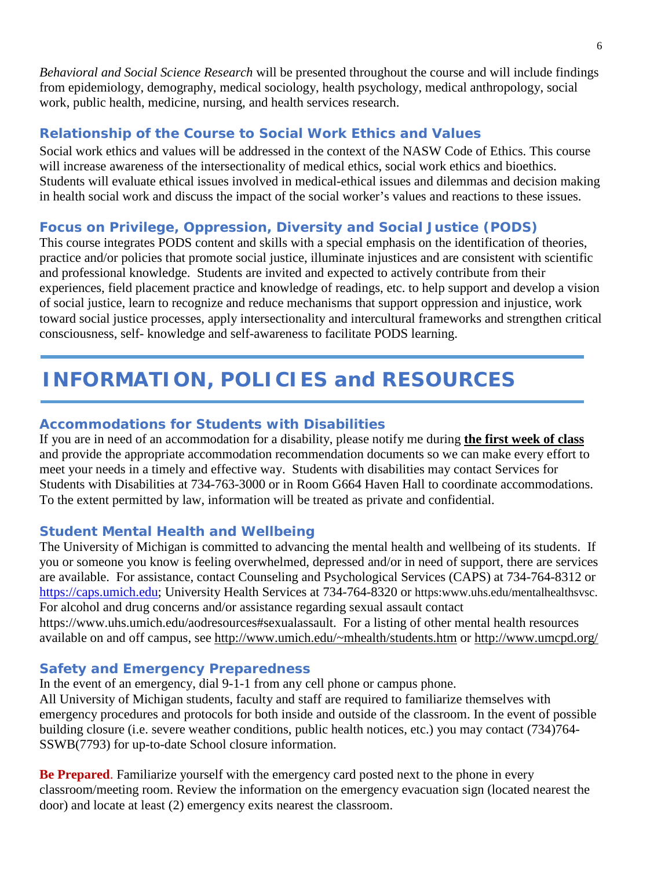*Behavioral and Social Science Research* will be presented throughout the course and will include findings from epidemiology, demography, medical sociology, health psychology, medical anthropology, social work, public health, medicine, nursing, and health services research.

# **Relationship of the Course to Social Work Ethics and Values**

Social work ethics and values will be addressed in the context of the NASW Code of Ethics. This course will increase awareness of the intersectionality of medical ethics, social work ethics and bioethics. Students will evaluate ethical issues involved in medical-ethical issues and dilemmas and decision making in health social work and discuss the impact of the social worker's values and reactions to these issues.

# **Focus on Privilege, Oppression, Diversity and Social Justice (PODS)**

This course integrates PODS content and skills with a special emphasis on the identification of theories, practice and/or policies that promote social justice, illuminate injustices and are consistent with scientific and professional knowledge. Students are invited and expected to actively contribute from their experiences, field placement practice and knowledge of readings, etc. to help support and develop a vision of social justice, learn to recognize and reduce mechanisms that support oppression and injustice, work toward social justice processes, apply intersectionality and intercultural frameworks and strengthen critical consciousness, self- knowledge and self-awareness to facilitate PODS learning.

# **INFORMATION, POLICIES and RESOURCES**

# **Accommodations for Students with Disabilities**

If you are in need of an accommodation for a disability, please notify me during **the first week of class** and provide the appropriate accommodation recommendation documents so we can make every effort to meet your needs in a timely and effective way. Students with disabilities may contact Services for Students with Disabilities at 734-763-3000 or in Room G664 Haven Hall to coordinate accommodations. To the extent permitted by law, information will be treated as private and confidential.

# **Student Mental Health and Wellbeing**

The University of Michigan is committed to advancing the mental health and wellbeing of its students. If you or someone you know is feeling overwhelmed, depressed and/or in need of support, there are services are available. For assistance, contact Counseling and Psychological Services (CAPS) at 734-764-8312 or [https://caps.umich.edu;](https://caps.umich.edu/) University Health Services at 734-764-8320 or https:www.uhs.edu/mentalhealthsvsc. For alcohol and drug concerns and/or assistance regarding sexual assault contact

https://www.uhs.umich.edu/aodresources#sexualassault. For a listing of other mental health resources available on and off campus, see [http://www.umich.edu/~mhealth/students.htm](http://www.umich.edu/%7Emhealth/students.htm) or<http://www.umcpd.org/>

# **Safety and Emergency Preparedness**

In the event of an emergency, dial 9-1-1 from any cell phone or campus phone.

All University of Michigan students, faculty and staff are required to familiarize themselves with emergency procedures and protocols for both inside and outside of the classroom. In the event of possible building closure (i.e. severe weather conditions, public health notices, etc.) you may contact (734)764- SSWB(7793) for up-to-date School closure information.

**Be Prepared**. Familiarize yourself with the emergency card posted next to the phone in every classroom/meeting room. Review the information on the emergency evacuation sign (located nearest the door) and locate at least (2) emergency exits nearest the classroom.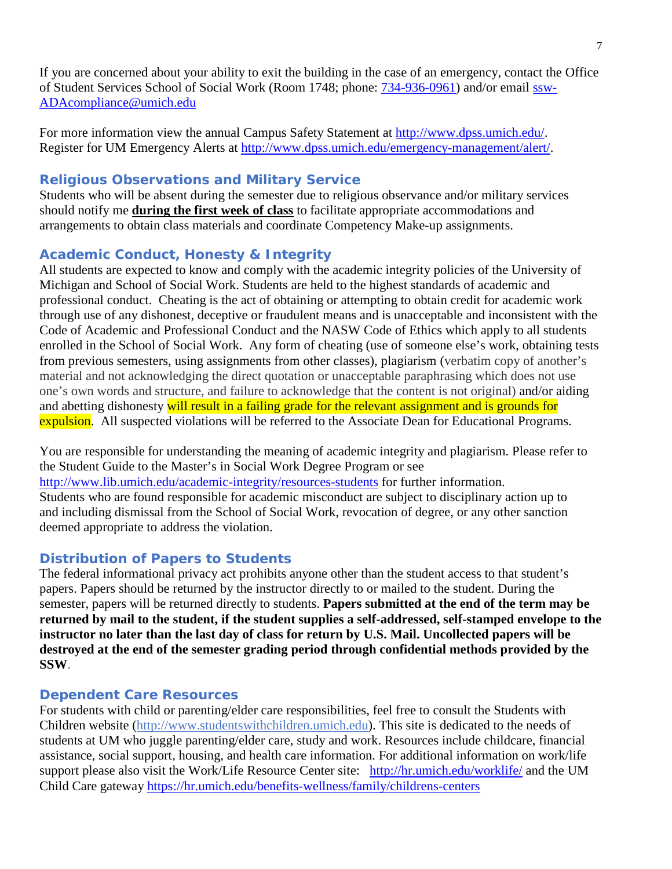If you are concerned about your ability to exit the building in the case of an emergency, contact the Office of Student Services School of Social Work (Room 1748; phone: [734-936-0961\)](tel:734-936-0961) and/or email [ssw-](mailto:ssw-ADAcompliance@umich.edu)[ADAcompliance@umich.edu](mailto:ssw-ADAcompliance@umich.edu)

For more information view the annual Campus Safety Statement at [http://www.dpss.umich.edu/.](http://www.dpss.umich.edu/) Register for UM Emergency Alerts at [http://www.dpss.umich.edu/emergency-management/alert/.](http://www.dpss.umich.edu/emergency-management/alert/)

# **Religious Observations and Military Service**

Students who will be absent during the semester due to religious observance and/or military services should notify me **during the first week of class** to facilitate appropriate accommodations and arrangements to obtain class materials and coordinate Competency Make-up assignments.

# **Academic Conduct, Honesty & Integrity**

All students are expected to know and comply with the academic integrity policies of the University of Michigan and School of Social Work. Students are held to the highest standards of academic and professional conduct. Cheating is the act of obtaining or attempting to obtain credit for academic work through use of any dishonest, deceptive or fraudulent means and is unacceptable and inconsistent with the Code of Academic and Professional Conduct and the NASW Code of Ethics which apply to all students enrolled in the School of Social Work. Any form of cheating (use of someone else's work, obtaining tests from previous semesters, using assignments from other classes), plagiarism (verbatim copy of another's material and not acknowledging the direct quotation or unacceptable paraphrasing which does not use one's own words and structure, and failure to acknowledge that the content is not original) and/or aiding and abetting dishonesty will result in a failing grade for the relevant assignment and is grounds for expulsion. All suspected violations will be referred to the Associate Dean for Educational Programs.

You are responsible for understanding the meaning of academic integrity and plagiarism. Please refer to the Student Guide to the Master's in Social Work Degree Program or see <http://www.lib.umich.edu/academic-integrity/resources-students> for further information. Students who are found responsible for academic misconduct are subject to disciplinary action up to and including dismissal from the School of Social Work, revocation of degree, or any other sanction deemed appropriate to address the violation.

# **Distribution of Papers to Students**

The federal informational privacy act prohibits anyone other than the student access to that student's papers. Papers should be returned by the instructor directly to or mailed to the student. During the semester, papers will be returned directly to students. **Papers submitted at the end of the term may be returned by mail to the student, if the student supplies a self-addressed, self-stamped envelope to the instructor no later than the last day of class for return by U.S. Mail. Uncollected papers will be destroyed at the end of the semester grading period through confidential methods provided by the SSW**.

# **Dependent Care Resources**

For students with child or parenting/elder care responsibilities, feel free to consult the Students with Children website [\(http://www.studentswithchildren.umich.edu\)](http://www.studentswithchildren.umich.edu/). This site is dedicated to the needs of students at UM who juggle parenting/elder care, study and work. Resources include childcare, financial assistance, social support, housing, and health care information. For additional information on work/life support please also visit the Work/Life Resource Center site: <http://hr.umich.edu/worklife/> and the UM Child Care gateway<https://hr.umich.edu/benefits-wellness/family/childrens-centers>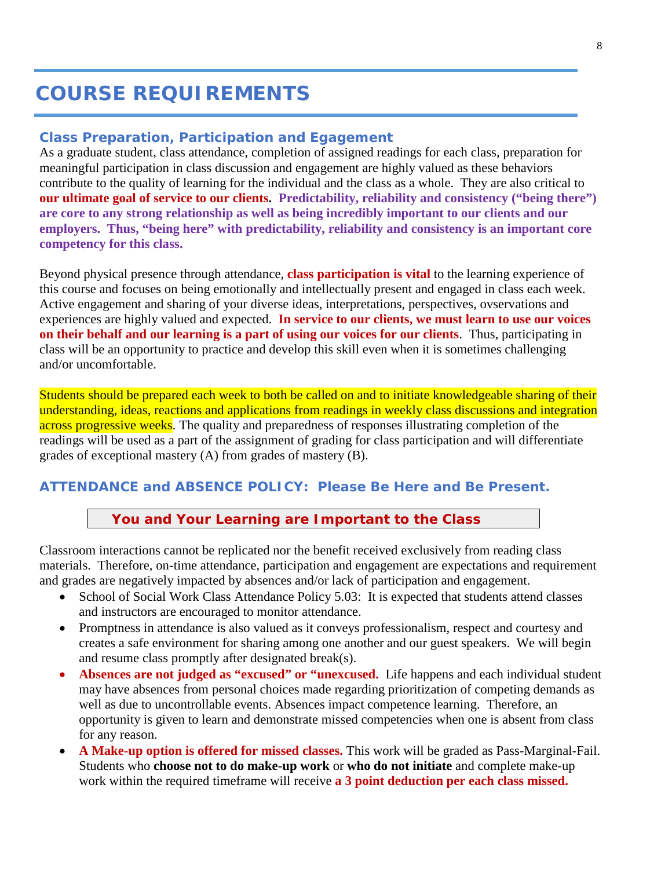# **COURSE REQUIREMENTS**

#### **Class Preparation, Participation and Egagement**

As a graduate student, class attendance, completion of assigned readings for each class, preparation for meaningful participation in class discussion and engagement are highly valued as these behaviors contribute to the quality of learning for the individual and the class as a whole. They are also critical to **our ultimate goal of service to our clients. Predictability, reliability and consistency ("being there") are core to any strong relationship as well as being incredibly important to our clients and our employers. Thus, "being here" with predictability, reliability and consistency is an important core competency for this class.** 

Beyond physical presence through attendance, **class participation is vital** to the learning experience of this course and focuses on being emotionally and intellectually present and engaged in class each week. Active engagement and sharing of your diverse ideas, interpretations, perspectives, ovservations and experiences are highly valued and expected. **In service to our clients, we must learn to use our voices on their behalf and our learning is a part of using our voices for our clients**. Thus, participating in class will be an opportunity to practice and develop this skill even when it is sometimes challenging and/or uncomfortable.

Students should be prepared each week to both be called on and to initiate knowledgeable sharing of their understanding, ideas, reactions and applications from readings in weekly class discussions and integration across progressive weeks. The quality and preparedness of responses illustrating completion of the readings will be used as a part of the assignment of grading for class participation and will differentiate grades of exceptional mastery (A) from grades of mastery (B).

### **ATTENDANCE and ABSENCE POLICY: Please Be Here and Be Present.**

#### **You and Your Learning are Important to the Class**

Classroom interactions cannot be replicated nor the benefit received exclusively from reading class materials. Therefore, on-time attendance, participation and engagement are expectations and requirement and grades are negatively impacted by absences and/or lack of participation and engagement.

- School of Social Work Class Attendance Policy 5.03: It is expected that students attend classes and instructors are encouraged to monitor attendance.
- Promptness in attendance is also valued as it conveys professionalism, respect and courtesy and creates a safe environment for sharing among one another and our guest speakers. We will begin and resume class promptly after designated break(s).
- **Absences are not judged as "excused" or "unexcused.** Life happens and each individual student may have absences from personal choices made regarding prioritization of competing demands as well as due to uncontrollable events. Absences impact competence learning. Therefore, an opportunity is given to learn and demonstrate missed competencies when one is absent from class for any reason.
- **A Make-up option is offered for missed classes.** This work will be graded as Pass-Marginal-Fail. Students who **choose not to do make-up work** or **who do not initiate** and complete make-up work within the required timeframe will receive **a 3 point deduction per each class missed.**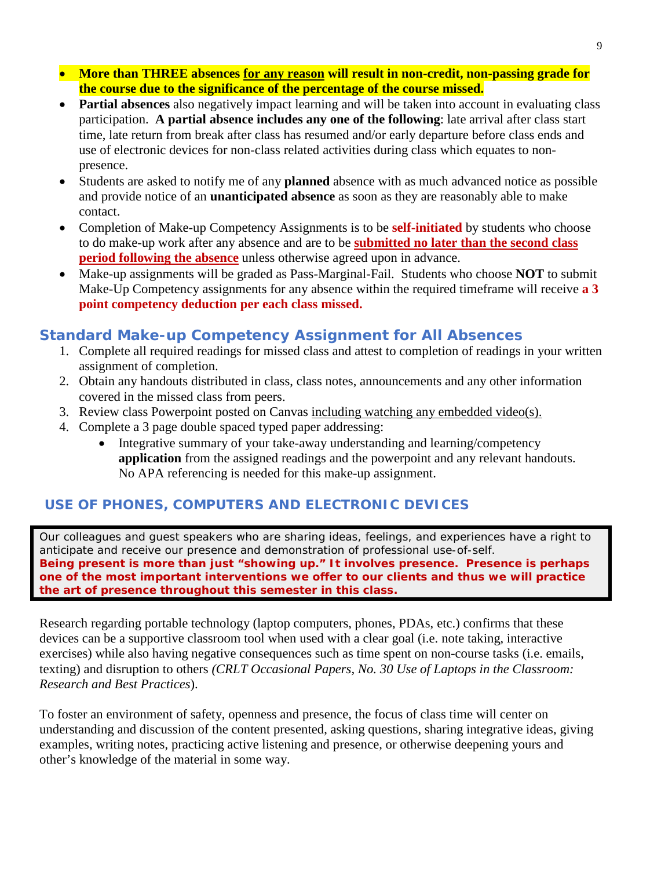- **More than THREE absences for any reason will result in non-credit, non-passing grade for the course due to the significance of the percentage of the course missed.**
- **Partial absences** also negatively impact learning and will be taken into account in evaluating class participation. **A partial absence includes any one of the following**: late arrival after class start time, late return from break after class has resumed and/or early departure before class ends and use of electronic devices for non-class related activities during class which equates to nonpresence.
- Students are asked to notify me of any **planned** absence with as much advanced notice as possible and provide notice of an **unanticipated absence** as soon as they are reasonably able to make contact.
- Completion of Make-up Competency Assignments is to be **self-initiated** by students who choose to do make-up work after any absence and are to be **submitted no later than the second class period following the absence** unless otherwise agreed upon in advance.
- Make-up assignments will be graded as Pass-Marginal-Fail. Students who choose **NOT** to submit Make-Up Competency assignments for any absence within the required timeframe will receive **a 3 point competency deduction per each class missed.**

# **Standard Make-up Competency Assignment for All Absences**

- 1. Complete all required readings for missed class and attest to completion of readings in your written assignment of completion.
- 2. Obtain any handouts distributed in class, class notes, announcements and any other information covered in the missed class from peers.
- 3. Review class Powerpoint posted on Canvas including watching any embedded video(s).
- 4. Complete a 3 page double spaced typed paper addressing:
	- Integrative summary of your take-away understanding and learning/competency **application** from the assigned readings and the powerpoint and any relevant handouts. No APA referencing is needed for this make-up assignment.

# **USE OF PHONES, COMPUTERS AND ELECTRONIC DEVICES**

Our colleagues and guest speakers who are sharing ideas, feelings, and experiences have a right to anticipate and receive our presence and demonstration of professional use-of-self. **Being** *present* **is more than just "showing up." It involves** *presence.* **Presence is perhaps one of the most important interventions we offer to our clients and thus we will practice the art of presence throughout this semester in this class.**

Research regarding portable technology (laptop computers, phones, PDAs, etc.) confirms that these devices can be a supportive classroom tool when used with a clear goal (i.e. note taking, interactive exercises) while also having negative consequences such as time spent on non-course tasks (i.e. emails, texting) and disruption to others *(CRLT Occasional Papers, No. 30 Use of Laptops in the Classroom: Research and Best Practices*).

To foster an environment of safety, openness and presence, the focus of class time will center on understanding and discussion of the content presented, asking questions, sharing integrative ideas, giving examples, writing notes, practicing active listening and presence, or otherwise deepening yours and other's knowledge of the material in some way.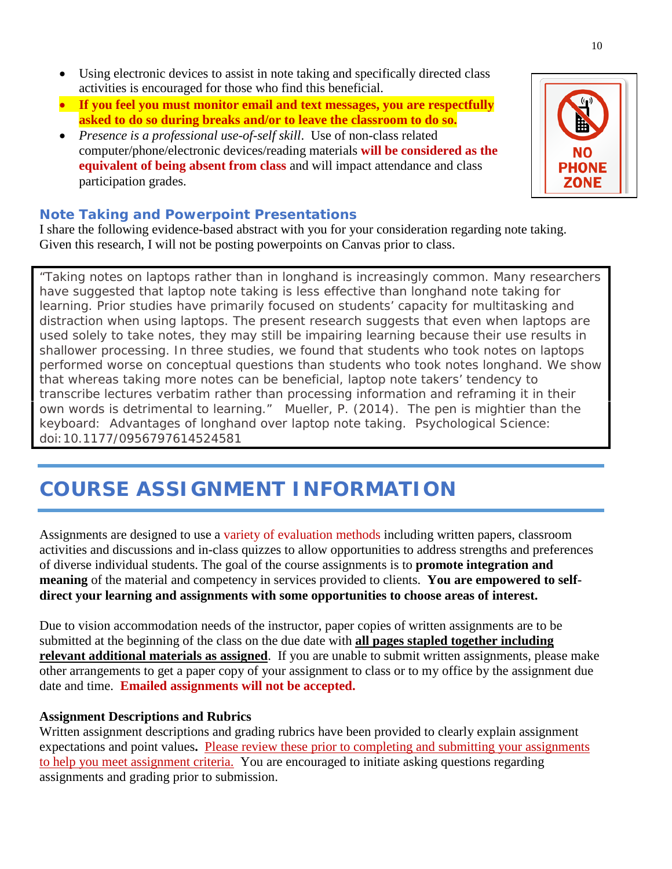- Using electronic devices to assist in note taking and specifically directed class activities is encouraged for those who find this beneficial.
- **If you feel you must monitor email and text messages, you are respectfully asked to do so during breaks and/or to leave the classroom to do so.**
- *Presence is a professional use-of-self skill*. Use of non-class related computer/phone/electronic devices/reading materials **will be considered as the equivalent of being absent from class** and will impact attendance and class participation grades.

### **Note Taking and Powerpoint Presentations**

I share the following evidence-based abstract with you for your consideration regarding note taking. Given this research, I will not be posting powerpoints on Canvas prior to class.

*"Taking notes on laptops rather than in longhand is increasingly common. Many researchers have suggested that laptop note taking is less effective than longhand note taking for learning. Prior studies have primarily focused on students' capacity for multitasking and distraction when using laptops. The present research suggests that even when laptops are used solely to take notes, they may still be impairing learning because their use results in shallower processing. In three studies, we found that students who took notes on laptops performed worse on conceptual questions than students who took notes longhand. We show that whereas taking more notes can be beneficial, laptop note takers' tendency to transcribe lectures verbatim rather than processing information and reframing it in their own words is detrimental to learning."* Mueller, P. (2014). The pen is mightier than the keyboard: Advantages of longhand over laptop note taking. *Psychological Science*: doi:10.1177/0956797614524581

# **COURSE ASSIGNMENT INFORMATION**

Assignments are designed to use a variety of evaluation methods including written papers, classroom activities and discussions and in-class quizzes to allow opportunities to address strengths and preferences of diverse individual students. The goal of the course assignments is to **promote integration and meaning** of the material and competency in services provided to clients. **You are empowered to selfdirect your learning and assignments with some opportunities to choose areas of interest.**

Due to vision accommodation needs of the instructor, paper copies of written assignments are to be submitted at the beginning of the class on the due date with **all pages stapled together including relevant additional materials as assigned**. If you are unable to submit written assignments, please make other arrangements to get a paper copy of your assignment to class or to my office by the assignment due date and time. **Emailed assignments will not be accepted.** 

#### **Assignment Descriptions and Rubrics**

Written assignment descriptions and grading rubrics have been provided to clearly explain assignment expectations and point values**.** Please review these prior to completing and submitting your assignments to help you meet assignment criteria. You are encouraged to initiate asking questions regarding assignments and grading prior to submission.

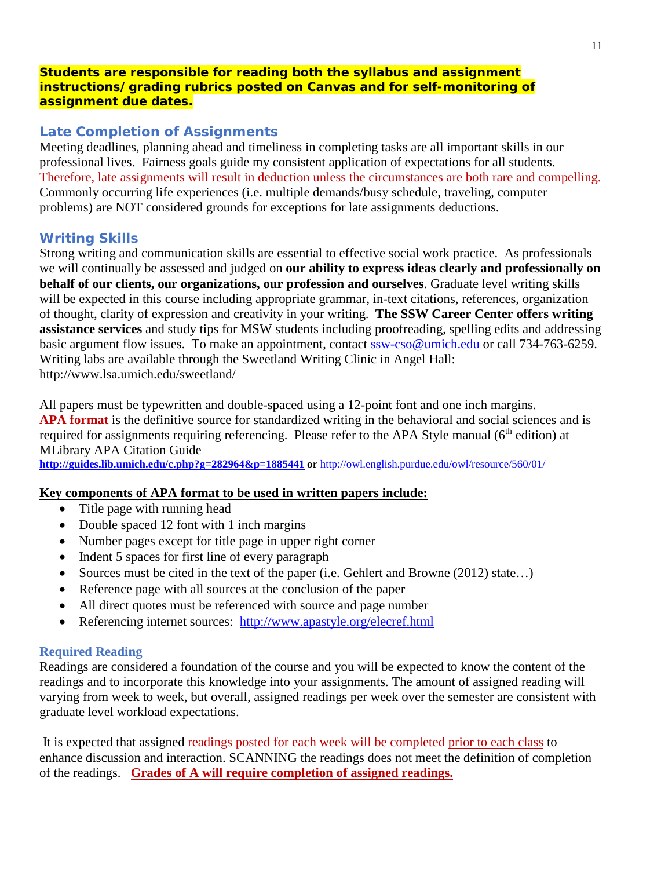#### **Students are responsible for reading both the syllabus and assignment instructions/grading rubrics posted on Canvas and for self-monitoring of assignment due dates.**

# **Late Completion of Assignments**

Meeting deadlines, planning ahead and timeliness in completing tasks are all important skills in our professional lives. Fairness goals guide my consistent application of expectations for all students. Therefore, late assignments will result in deduction unless the circumstances are both rare and compelling. Commonly occurring life experiences (i.e. multiple demands/busy schedule, traveling, computer problems) are NOT considered grounds for exceptions for late assignments deductions.

# **Writing Skills**

Strong writing and communication skills are essential to effective social work practice. As professionals we will continually be assessed and judged on **our ability to express ideas clearly and professionally on behalf of our clients, our organizations, our profession and ourselves**. Graduate level writing skills will be expected in this course including appropriate grammar, in-text citations, references, organization of thought, clarity of expression and creativity in your writing. **The SSW Career Center offers writing assistance services** and study tips for MSW students including proofreading, spelling edits and addressing basic argument flow issues. To make an appointment, contact [ssw-cso@umich.edu](mailto:ssw-cso@umich.edu) or call 734-763-6259. Writing labs are available through the Sweetland Writing Clinic in Angel Hall: http://www.lsa.umich.edu/sweetland/

All papers must be typewritten and double-spaced using a 12-point font and one inch margins. **APA format** is the definitive source for standardized writing in the behavioral and social sciences and is required for assignments requiring referencing. Please refer to the APA Style manual (6<sup>th</sup> edition) at MLibrary APA Citation Guide

**<http://guides.lib.umich.edu/c.php?g=282964&p=1885441> or** <http://owl.english.purdue.edu/owl/resource/560/01/>

# **Key components of APA format to be used in written papers include:**

- Title page with running head
- Double spaced 12 font with 1 inch margins
- Number pages except for title page in upper right corner
- Indent 5 spaces for first line of every paragraph
- Sources must be cited in the text of the paper (i.e. Gehlert and Browne (2012) state...)
- Reference page with all sources at the conclusion of the paper
- All direct quotes must be referenced with source and page number
- Referencing internet sources: <http://www.apastyle.org/elecref.html>

# **Required Reading**

Readings are considered a foundation of the course and you will be expected to know the content of the readings and to incorporate this knowledge into your assignments. The amount of assigned reading will varying from week to week, but overall, assigned readings per week over the semester are consistent with graduate level workload expectations.

It is expected that assigned readings posted for each week will be completed prior to each class to enhance discussion and interaction. SCANNING the readings does not meet the definition of completion of the readings. **Grades of A will require completion of assigned readings.**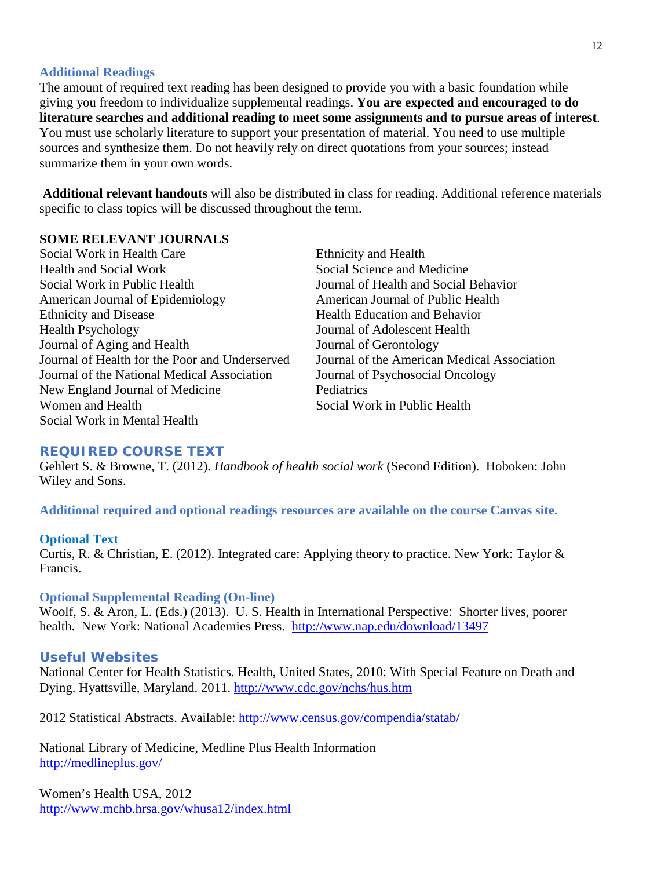#### **Additional Readings**

The amount of required text reading has been designed to provide you with a basic foundation while giving you freedom to individualize supplemental readings. **You are expected and encouraged to do literature searches and additional reading to meet some assignments and to pursue areas of interest**. You must use scholarly literature to support your presentation of material. You need to use multiple sources and synthesize them. Do not heavily rely on direct quotations from your sources; instead summarize them in your own words.

**Additional relevant handouts** will also be distributed in class for reading. Additional reference materials specific to class topics will be discussed throughout the term.

#### **SOME RELEVANT JOURNALS**

Social Work in Health Care Ethnicity and Health Health and Social Work Social Science and Medicine Social Work in Public Health Journal of Health and Social Behavior American Journal of Epidemiology American Journal of Public Health Ethnicity and Disease Health Education and Behavior Health Psychology Journal of Adolescent Health Journal of Aging and Health Journal of Gerontology Journal of Health for the Poor and Underserved Journal of the American Medical Association Journal of the National Medical Association Journal of Psychosocial Oncology New England Journal of Medicine Pediatrics Women and Health Social Work in Public Health Social Work in Mental Health

#### **REQUIRED COURSE TEXT**

Gehlert S. & Browne, T. (2012). *Handbook of health social work* (Second Edition). Hoboken: John Wiley and Sons.

**Additional required and optional readings resources are available on the course Canvas site.**

#### **Optional Text**

Curtis, R. & Christian, E. (2012). Integrated care: Applying theory to practice. New York: Taylor & Francis.

#### **Optional Supplemental Reading (On-line)**

Woolf, S. & Aron, L. (Eds.) (2013). U. S. Health in International Perspective: Shorter lives, poorer health. New York: National Academies Press. <http://www.nap.edu/download/13497>

#### **Useful Websites**

National Center for Health Statistics. Health, United States, 2010: With Special Feature on Death and Dying. Hyattsville, Maryland. 2011.<http://www.cdc.gov/nchs/hus.htm>

2012 Statistical Abstracts. Available:<http://www.census.gov/compendia/statab/>

National Library of Medicine, Medline Plus Health Information <http://medlineplus.gov/>

Women's Health USA, 2012 <http://www.mchb.hrsa.gov/whusa12/index.html>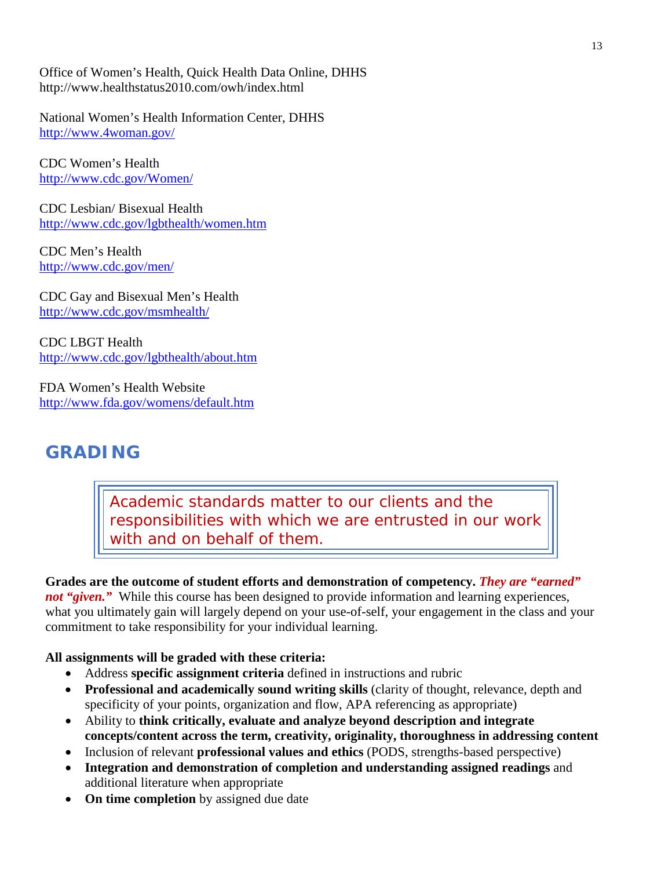Office of Women's Health, Quick Health Data Online, DHHS http://www.healthstatus2010.com/owh/index.html

National Women's Health Information Center, DHHS <http://www.4woman.gov/>

CDC Women's Health <http://www.cdc.gov/Women/>

CDC Lesbian/ Bisexual Health <http://www.cdc.gov/lgbthealth/women.htm>

CDC Men's Health <http://www.cdc.gov/men/>

CDC Gay and Bisexual Men's Health <http://www.cdc.gov/msmhealth/>

CDC LBGT Health <http://www.cdc.gov/lgbthealth/about.htm>

FDA Women's Health Website <http://www.fda.gov/womens/default.htm>

# **GRADING**

*Academic standards matter to our clients and the responsibilities with which we are entrusted in our work with and on behalf of them.*

# **Grades are the outcome of student efforts and demonstration of competency.** *They are "earned"*

*not "given.*" While this course has been designed to provide information and learning experiences, what you ultimately gain will largely depend on your use-of-self, your engagement in the class and your commitment to take responsibility for your individual learning.

# **All assignments will be graded with these criteria:**

- Address **specific assignment criteria** defined in instructions and rubric
- **Professional and academically sound writing skills** (clarity of thought, relevance, depth and specificity of your points, organization and flow, APA referencing as appropriate)
- Ability to **think critically, evaluate and analyze beyond description and integrate concepts/content across the term, creativity, originality, thoroughness in addressing content**
- Inclusion of relevant **professional values and ethics** (PODS, strengths-based perspective)
- **Integration and demonstration of completion and understanding assigned readings** and additional literature when appropriate
- **On time completion** by assigned due date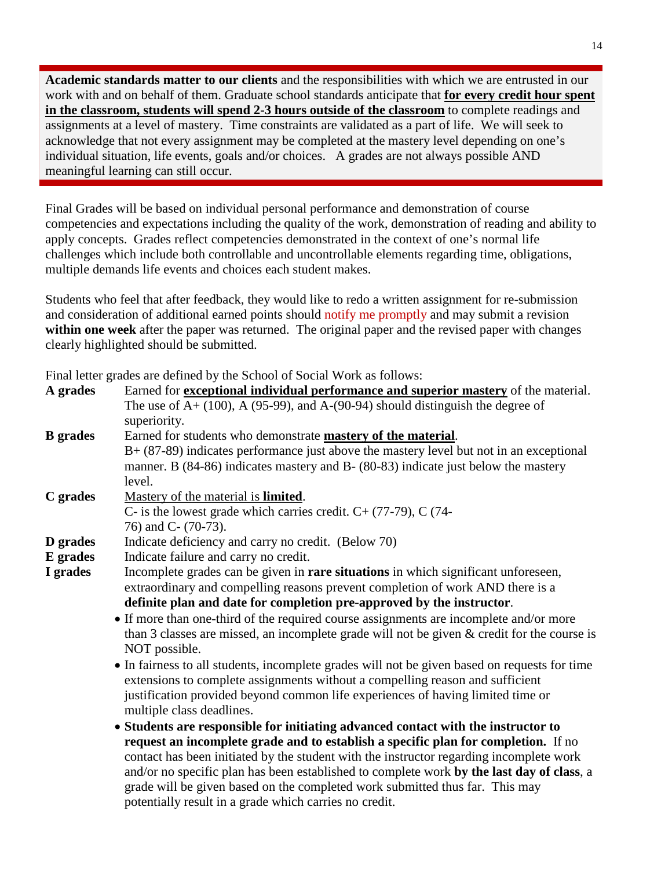**Academic standards matter to our clients** and the responsibilities with which we are entrusted in our work with and on behalf of them. Graduate school standards anticipate that **for every credit hour spent in the classroom, students will spend 2-3 hours outside of the classroom** to complete readings and assignments at a level of mastery. Time constraints are validated as a part of life. We will seek to acknowledge that not every assignment may be completed at the mastery level depending on one's individual situation, life events, goals and/or choices. A grades are not always possible AND meaningful learning can still occur.

Final Grades will be based on individual personal performance and demonstration of course competencies and expectations including the quality of the work, demonstration of reading and ability to apply concepts. Grades reflect competencies demonstrated in the context of one's normal life challenges which include both controllable and uncontrollable elements regarding time, obligations, multiple demands life events and choices each student makes.

Students who feel that after feedback, they would like to redo a written assignment for re-submission and consideration of additional earned points should notify me promptly and may submit a revision **within one week** after the paper was returned. The original paper and the revised paper with changes clearly highlighted should be submitted.

| I mai ichci grades are defined by the behoof of bocial work as follows.                        |
|------------------------------------------------------------------------------------------------|
| Earned for <b>exceptional individual performance and superior mastery</b> of the material.     |
| The use of $A+ (100)$ , A (95-99), and A-(90-94) should distinguish the degree of              |
| superiority.                                                                                   |
| Earned for students who demonstrate <b>mastery of the material</b> .                           |
| $B+$ (87-89) indicates performance just above the mastery level but not in an exceptional      |
| manner. B (84-86) indicates mastery and B- (80-83) indicate just below the mastery             |
| level.                                                                                         |
| Mastery of the material is <b>limited</b> .                                                    |
| C- is the lowest grade which carries credit. $C + (77-79)$ , C (74-                            |
| 76) and C- (70-73).                                                                            |
| Indicate deficiency and carry no credit. (Below 70)                                            |
| Indicate failure and carry no credit.                                                          |
| Incomplete grades can be given in rare situations in which significant unforeseen,             |
| extraordinary and compelling reasons prevent completion of work AND there is a                 |
| definite plan and date for completion pre-approved by the instructor.                          |
| • If more than one-third of the required course assignments are incomplete and/or more         |
| than 3 classes are missed, an incomplete grade will not be given $\&$ credit for the course is |
| NOT possible.                                                                                  |
| • In fairness to all students, incomplete grades will not be given based on requests for time  |
| extensions to complete assignments without a compelling reason and sufficient                  |
| justification provided beyond common life experiences of having limited time or                |
| multiple class deadlines.                                                                      |
| • Students are responsible for initiating advanced contact with the instructor to              |
| request an incomplete grade and to establish a specific plan for completion. If no             |
| contact has been initiated by the student with the instructor regarding incomplete work        |
| and/or no specific plan has been established to complete work by the last day of class, a      |
| grade will be given based on the completed work submitted thus far. This may                   |
| potentially result in a grade which carries no credit.                                         |
|                                                                                                |

Final letter grades are defined by the School of Social Work as follows: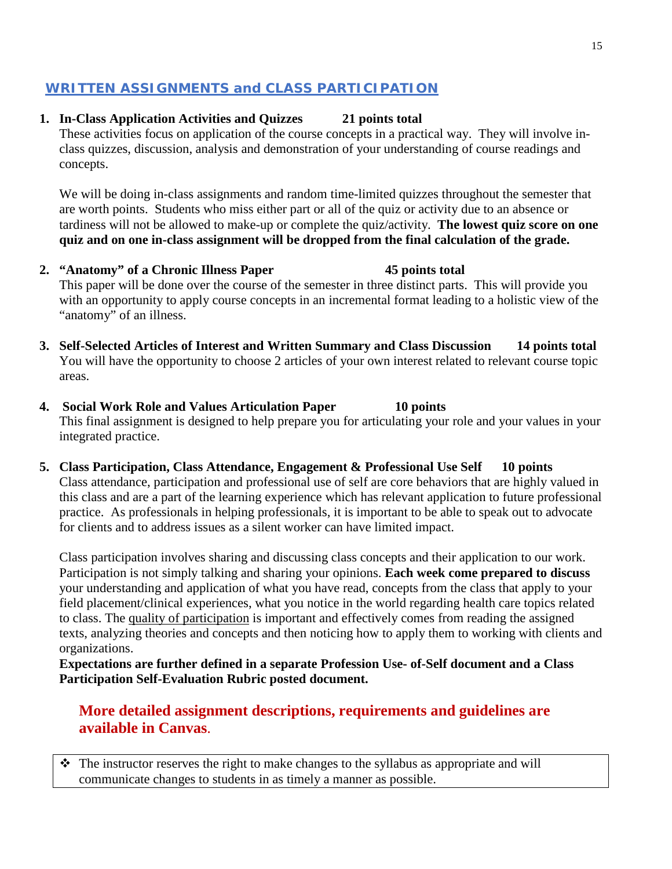# **WRITTEN ASSIGNMENTS and CLASS PARTICIPATION**

# **1. In-Class Application Activities and Quizzes 21 points total**

These activities focus on application of the course concepts in a practical way. They will involve inclass quizzes, discussion, analysis and demonstration of your understanding of course readings and concepts.

We will be doing in-class assignments and random time-limited quizzes throughout the semester that are worth points. Students who miss either part or all of the quiz or activity due to an absence or tardiness will not be allowed to make-up or complete the quiz/activity. **The lowest quiz score on one quiz and on one in-class assignment will be dropped from the final calculation of the grade.**

- **2. "Anatomy" of a Chronic Illness Paper 45 points total** This paper will be done over the course of the semester in three distinct parts. This will provide you with an opportunity to apply course concepts in an incremental format leading to a holistic view of the "anatomy" of an illness.
- **3. Self-Selected Articles of Interest and Written Summary and Class Discussion 14 points total** You will have the opportunity to choose 2 articles of your own interest related to relevant course topic areas.
- **4. Social Work Role and Values Articulation Paper 10 points** This final assignment is designed to help prepare you for articulating your role and your values in your integrated practice.
- **5. Class Participation, Class Attendance, Engagement & Professional Use Self 10 points** Class attendance, participation and professional use of self are core behaviors that are highly valued in this class and are a part of the learning experience which has relevant application to future professional practice. As professionals in helping professionals, it is important to be able to speak out to advocate for clients and to address issues as a silent worker can have limited impact.

Class participation involves sharing and discussing class concepts and their application to our work. Participation is not simply talking and sharing your opinions. **Each week come prepared to discuss** your understanding and application of what you have read, concepts from the class that apply to your field placement/clinical experiences, what you notice in the world regarding health care topics related to class. The quality of participation is important and effectively comes from reading the assigned texts, analyzing theories and concepts and then noticing how to apply them to working with clients and organizations.

**Expectations are further defined in a separate Profession Use- of-Self document and a Class Participation Self-Evaluation Rubric posted document.**

# **More detailed assignment descriptions, requirements and guidelines are available in Canvas**.

 The instructor reserves the right to make changes to the syllabus as appropriate and will communicate changes to students in as timely a manner as possible.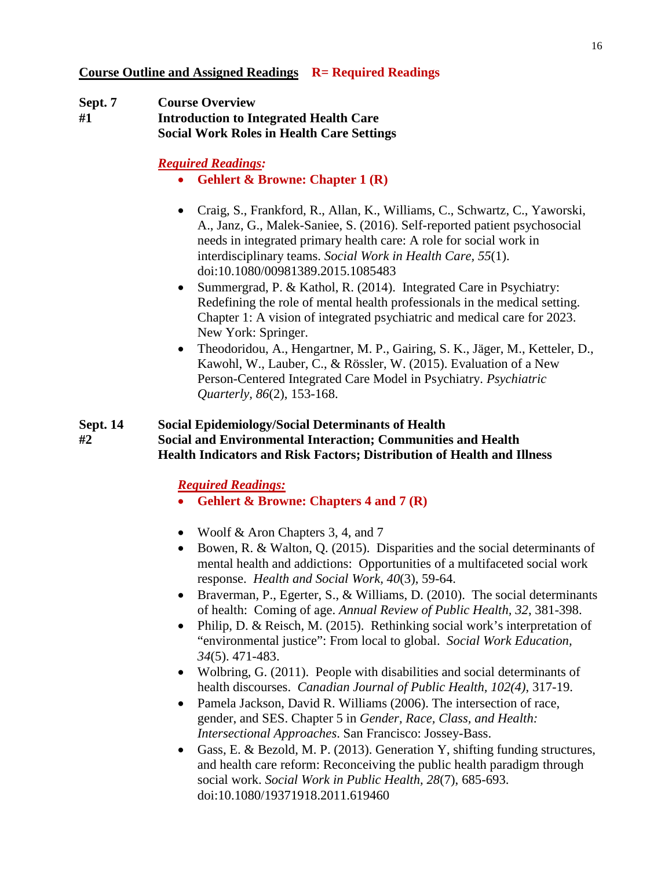**Course Outline and Assigned Readings R= Required Readings**

**Sept. 7 Course Overview #1 Introduction to Integrated Health Care Social Work Roles in Health Care Settings**

*Required Readings:*

- **Gehlert & Browne: Chapter 1 (R)**
- Craig, S., Frankford, R., Allan, K., Williams, C., Schwartz, C., Yaworski, A., Janz, G., Malek-Saniee, S. (2016). Self-reported patient psychosocial needs in integrated primary health care: A role for social work in interdisciplinary teams. *Social Work in Health Care, 55*(1). doi:10.1080/00981389.2015.1085483
- Summergrad, P. & Kathol, R. (2014). Integrated Care in Psychiatry: Redefining the role of mental health professionals in the medical setting. Chapter 1: A vision of integrated psychiatric and medical care for 2023. New York: Springer.
- Theodoridou, A., Hengartner, M. P., Gairing, S. K., Jäger, M., Ketteler, D., Kawohl, W., Lauber, C., & Rössler, W. (2015). Evaluation of a New Person-Centered Integrated Care Model in Psychiatry. *Psychiatric Quarterly, 86*(2), 153-168.

#### **Sept. 14 Social Epidemiology/Social Determinants of Health #2 Social and Environmental Interaction; Communities and Health Health Indicators and Risk Factors; Distribution of Health and Illness**

- **Gehlert & Browne: Chapters 4 and 7 (R)**
- Woolf & Aron Chapters 3, 4, and 7
- Bowen, R. & Walton, Q. (2015). Disparities and the social determinants of mental health and addictions: Opportunities of a multifaceted social work response. *Health and Social Work, 40*(3), 59-64.
- Braverman, P., Egerter, S., & Williams, D. (2010). The social determinants of health: Coming of age. *Annual Review of Public Health, 32*, 381-398.
- Philip, D. & Reisch, M. (2015). Rethinking social work's interpretation of "environmental justice": From local to global. *Social Work Education, 34*(5). 471-483.
- Wolbring, G. (2011). People with disabilities and social determinants of health discourses. *Canadian Journal of Public Health, 102(4)*, 317-19.
- Pamela Jackson, David R. Williams (2006). The intersection of race, gender, and SES. Chapter 5 in *Gender, Race, Class, and Health: Intersectional Approaches*. San Francisco: Jossey-Bass.
- Gass, E. & Bezold, M. P. (2013). Generation Y, shifting funding structures, and health care reform: Reconceiving the public health paradigm through social work. *Social Work in Public Health, 28*(7), 685-693. doi:10.1080/19371918.2011.619460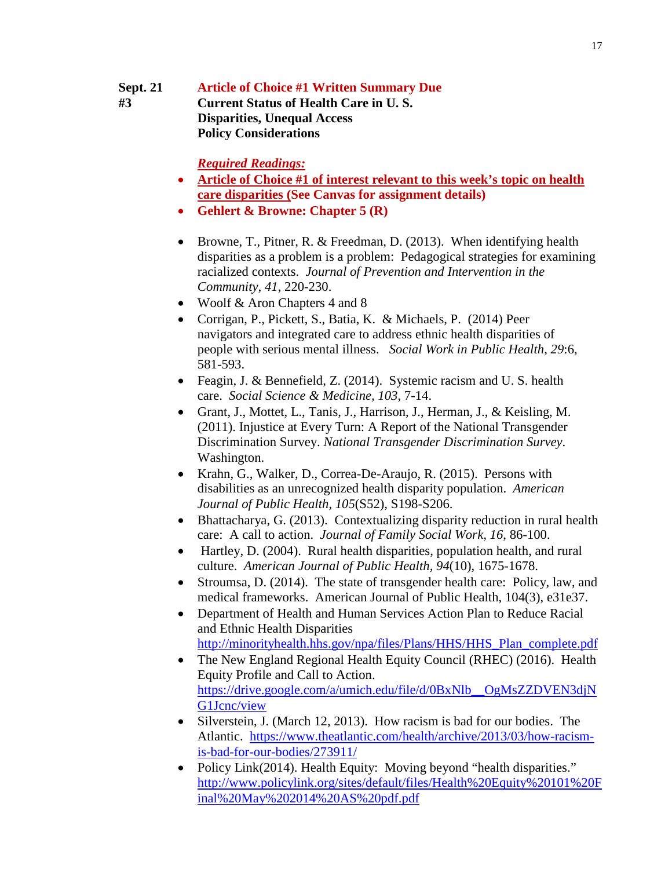# **Sept. 21 Article of Choice #1 Written Summary Due #3 Current Status of Health Care in U. S.**

**Disparities, Unequal Access Policy Considerations**

- **Article of Choice #1 of interest relevant to this week's topic on health care disparities (See Canvas for assignment details)**
- **Gehlert & Browne: Chapter 5 (R)**
- Browne, T., Pitner, R. & Freedman, D. (2013). When identifying health disparities as a problem is a problem: Pedagogical strategies for examining racialized contexts. *Journal of Prevention and Intervention in the Community*, *41*, 220-230.
- Woolf & Aron Chapters 4 and 8
- Corrigan, P., Pickett, S., Batia, K. & Michaels, P. (2014) Peer navigators and integrated care to address ethnic health disparities of people with serious mental illness. *Social Work in Public Health*, *29*:6, 581-593.
- Feagin, J. & Bennefield, Z. (2014). Systemic racism and U.S. health care. *Social Science & Medicine, 103*, 7-14.
- Grant, J., Mottet, L., Tanis, J., Harrison, J., Herman, J., & Keisling, M. (2011). Injustice at Every Turn: A Report of the National Transgender Discrimination Survey. *National Transgender Discrimination Survey*. Washington.
- Krahn, G., Walker, D., Correa-De-Araujo, R. (2015). Persons with disabilities as an unrecognized health disparity population. *American Journal of Public Health, 105*(S52), S198-S206.
- Bhattacharya, G. (2013). Contextualizing disparity reduction in rural health care: A call to action. *Journal of Family Social Work, 16*, 86-100.
- Hartley, D. (2004). Rural health disparities, population health, and rural culture. *American Journal of Public Health, 94*(10), 1675-1678.
- Stroumsa, D. (2014). The state of transgender health care: Policy, law, and medical frameworks. American Journal of Public Health, 104(3), e31e37.
- Department of Health and Human Services Action Plan to Reduce Racial and Ethnic Health Disparities [http://minorityhealth.hhs.gov/npa/files/Plans/HHS/HHS\\_Plan\\_complete.pdf](http://minorityhealth.hhs.gov/npa/files/Plans/HHS/HHS_Plan_complete.pdf)
- The New England Regional Health Equity Council (RHEC) (2016). Health Equity Profile and Call to Action. [https://drive.google.com/a/umich.edu/file/d/0BxNlb\\_\\_OgMsZZDVEN3djN](https://drive.google.com/a/umich.edu/file/d/0BxNlb__OgMsZZDVEN3djNG1Jcnc/view) [G1Jcnc/view](https://drive.google.com/a/umich.edu/file/d/0BxNlb__OgMsZZDVEN3djNG1Jcnc/view)
- Silverstein, J. (March 12, 2013). How racism is bad for our bodies. The Atlantic. https://www.theatlantic.com/health/archive/2013/03/how-racismis-bad-for-our-bodies/273911/
- Policy Link(2014). Health Equity: Moving beyond "health disparities." [http://www.policylink.org/sites/default/files/Health%20Equity%20101%20F](http://www.policylink.org/sites/default/files/Health%20Equity%20101%20Final%20May%202014%20AS%20pdf.pdf) [inal%20May%202014%20AS%20pdf.pdf](http://www.policylink.org/sites/default/files/Health%20Equity%20101%20Final%20May%202014%20AS%20pdf.pdf)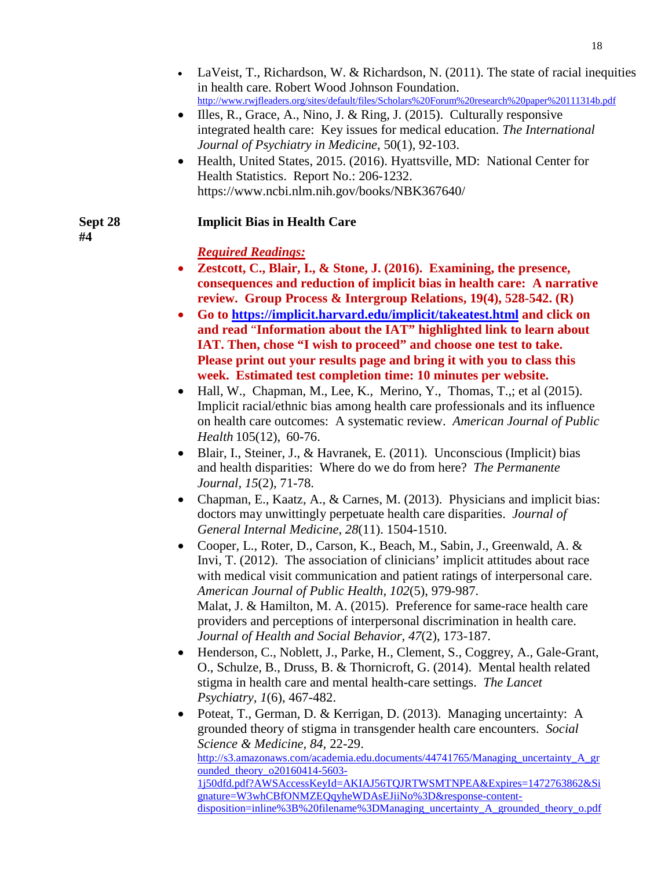- LaVeist, T., Richardson, W. & Richardson, N. (2011). The state of racial inequities in health care. Robert Wood Johnson Foundation. <http://www.rwjfleaders.org/sites/default/files/Scholars%20Forum%20research%20paper%20111314b.pdf>
- Illes, R., Grace, A., Nino, J. & Ring, J. (2015). Culturally responsive integrated health care: Key issues for medical education. *The International Journal of Psychiatry in Medicine*, 50(1), 92-103.
- Health, United States, 2015. (2016). Hyattsville, MD: National Center for Health Statistics. Report No.: 206-1232. https://www.ncbi.nlm.nih.gov/books/NBK367640/

# **Sept 28 Implicit Bias in Health Care**

 **#4**

- **Zestcott, C., Blair, I., & Stone, J. (2016). Examining, the presence, consequences and reduction of implicit bias in health care: A narrative review. Group Process & Intergroup Relations, 19(4), 528-542. (R)**
- **Go to<https://implicit.harvard.edu/implicit/takeatest.html> and click on and read** "**Information about the IAT" highlighted link to learn about IAT. Then, chose "I wish to proceed" and choose one test to take. Please print out your results page and bring it with you to class this week. Estimated test completion time: 10 minutes per website.**
- [Hall, W.,](http://search.proquest.com.proxy.lib.umich.edu/indexinglinkhandler/sng/au/Hall,+William+J/$N?accountid=14667) [Chapman, M.,](http://search.proquest.com.proxy.lib.umich.edu/indexinglinkhandler/sng/au/Chapman,+Mimi+V/$N?accountid=14667) [Lee, K.,](http://search.proquest.com.proxy.lib.umich.edu/indexinglinkhandler/sng/au/Lee,+Kent+M/$N?accountid=14667) [Merino, Y.](http://search.proquest.com.proxy.lib.umich.edu/indexinglinkhandler/sng/au/Merino,+Yesenia+M/$N?accountid=14667), [Thomas, T.,;](http://search.proquest.com.proxy.lib.umich.edu/indexinglinkhandler/sng/au/Thomas,+Tainayah+W/$N?accountid=14667) et al (2015). Implicit racial/ethnic bias among health care professionals and its influence on health care outcomes: A systematic review. *[American Journal of Public](http://search.proquest.com.proxy.lib.umich.edu/pubidlinkhandler/sng/pubtitle/American+Journal+of+Public+Health/$N/41804/PrintViewFile/1733897452/$B/C5832BDEEBEB4508PQ/1?accountid=14667)  [Health](http://search.proquest.com.proxy.lib.umich.edu/pubidlinkhandler/sng/pubtitle/American+Journal+of+Public+Health/$N/41804/PrintViewFile/1733897452/$B/C5832BDEEBEB4508PQ/1?accountid=14667)* [105\(12\),](http://search.proquest.com.proxy.lib.umich.edu/indexingvolumeissuelinkhandler/41804/American+Journal+of+Public+Health/02015Y12Y01$23Dec+2015$3b++Vol.+105+$2812$29/105/12?accountid=14667) 60-76.
- Blair, I., Steiner, J., & Havranek, E. (2011). Unconscious (Implicit) bias and health disparities: Where do we do from here? *The Permanente Journal, 15*(2), 71-78.
- Chapman, E., Kaatz, A., & Carnes, M. (2013). Physicians and implicit bias: doctors may unwittingly perpetuate health care disparities. *Journal of General Internal Medicine*, *28*(11). 1504-1510.
- Cooper, L., Roter, D., Carson, K., Beach, M., Sabin, J., Greenwald, A. & Invi, T. (2012). The association of clinicians' implicit attitudes about race with medical visit communication and patient ratings of interpersonal care. *American Journal of Public Health, 102*(5), 979-987. Malat, J. & Hamilton, M. A. (2015). Preference for same-race health care providers and perceptions of interpersonal discrimination in health care. *Journal of Health and Social Behavior, 47*(2), 173-187.
- Henderson, C., Noblett, J., Parke, H., Clement, S., Coggrey, A., Gale-Grant, O., Schulze, B., Druss, B. & Thornicroft, G. (2014). Mental health related stigma in health care and mental health-care settings. *The Lancet Psychiatry, 1*(6), 467-482.
- Poteat, T., German, D. & Kerrigan, D. (2013). Managing uncertainty: A grounded theory of stigma in transgender health care encounters. *Social Science & Medicine, 84*, 22-29. [http://s3.amazonaws.com/academia.edu.documents/44741765/Managing\\_uncertainty\\_A\\_gr](http://s3.amazonaws.com/academia.edu.documents/44741765/Managing_uncertainty_A_grounded_theory_o20160414-5603-1j50dfd.pdf?AWSAccessKeyId=AKIAJ56TQJRTWSMTNPEA&Expires=1472763862&Signature=W3whCBfONMZEQqyheWDAsEJiiNo%3D&response-content-disposition=inline%3B%20filename%3DManaging_uncertainty_A_grounded_theory_o.pdf) ounded theory  $o20160414-5603-$ [1j50dfd.pdf?AWSAccessKeyId=AKIAJ56TQJRTWSMTNPEA&Expires=1472763862&Si](http://s3.amazonaws.com/academia.edu.documents/44741765/Managing_uncertainty_A_grounded_theory_o20160414-5603-1j50dfd.pdf?AWSAccessKeyId=AKIAJ56TQJRTWSMTNPEA&Expires=1472763862&Signature=W3whCBfONMZEQqyheWDAsEJiiNo%3D&response-content-disposition=inline%3B%20filename%3DManaging_uncertainty_A_grounded_theory_o.pdf) [gnature=W3whCBfONMZEQqyheWDAsEJiiNo%3D&response-content](http://s3.amazonaws.com/academia.edu.documents/44741765/Managing_uncertainty_A_grounded_theory_o20160414-5603-1j50dfd.pdf?AWSAccessKeyId=AKIAJ56TQJRTWSMTNPEA&Expires=1472763862&Signature=W3whCBfONMZEQqyheWDAsEJiiNo%3D&response-content-disposition=inline%3B%20filename%3DManaging_uncertainty_A_grounded_theory_o.pdf)[disposition=inline%3B%20filename%3DManaging\\_uncertainty\\_A\\_grounded\\_theory\\_o.pdf](http://s3.amazonaws.com/academia.edu.documents/44741765/Managing_uncertainty_A_grounded_theory_o20160414-5603-1j50dfd.pdf?AWSAccessKeyId=AKIAJ56TQJRTWSMTNPEA&Expires=1472763862&Signature=W3whCBfONMZEQqyheWDAsEJiiNo%3D&response-content-disposition=inline%3B%20filename%3DManaging_uncertainty_A_grounded_theory_o.pdf)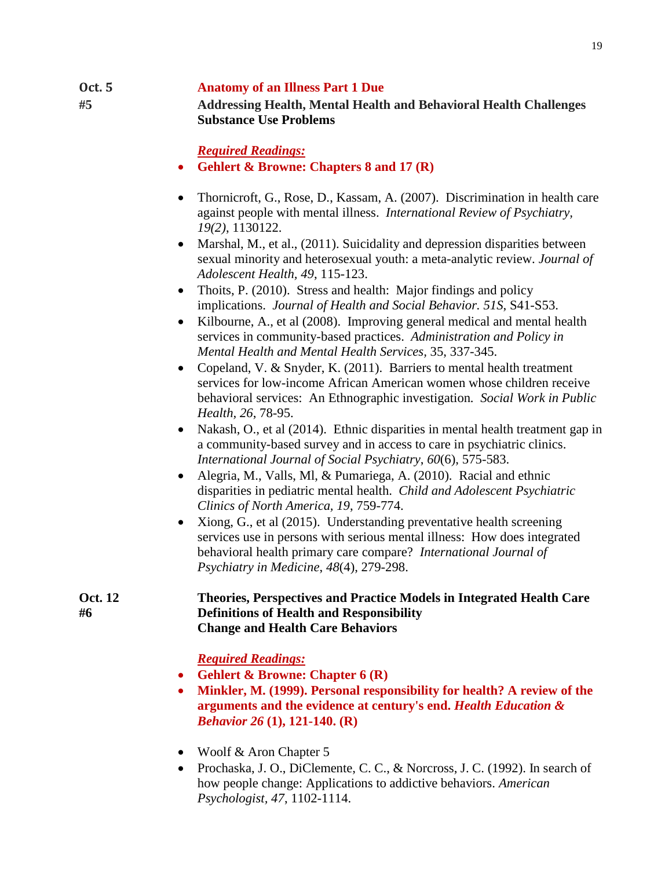### **Oct. 5 Anatomy of an Illness Part 1 Due #5 Addressing Health, Mental Health and Behavioral Health Challenges Substance Use Problems**

*Required Readings:*

- **Gehlert & Browne: Chapters 8 and 17 (R)**
- Thornicroft, G., Rose, D., Kassam, A. (2007). Discrimination in health care against people with mental illness. *International Review of Psychiatry, 19(2)*, 1130122.
- Marshal, M., et al., (2011). Suicidality and depression disparities between sexual minority and heterosexual youth: a meta-analytic review. *Journal of Adolescent Health, 49*, 115-123.
- Thoits, P. (2010). Stress and health: Major findings and policy implications. *Journal of Health and Social Behavior. 51S*, S41-S53.
- Kilbourne, A., et al (2008). Improving general medical and mental health services in community-based practices. *Administration and Policy in Mental Health and Mental Health Services,* 35, 337-345.
- Copeland, V. & Snyder, K. (2011). Barriers to mental health treatment services for low-income African American women whose children receive behavioral services: An Ethnographic investigation*. Social Work in Public Health, 26*, 78-95.
- Nakash, O., et al (2014). Ethnic disparities in mental health treatment gap in a community-based survey and in access to care in psychiatric clinics. *International Journal of Social Psychiatry*, *60*(6), 575-583.
- Alegria, M., Valls, Ml, & Pumariega, A. (2010). Racial and ethnic disparities in pediatric mental health. *Child and Adolescent Psychiatric Clinics of North America, 19*, 759-774.
- Xiong, G., et al (2015). Understanding preventative health screening services use in persons with serious mental illness: How does integrated behavioral health primary care compare? *International Journal of Psychiatry in Medicine*, *48*(4), 279-298.

**Oct. 12 Theories, Perspectives and Practice Models in Integrated Health Care #6 Definitions of Health and Responsibility Change and Health Care Behaviors**

- **Gehlert & Browne: Chapter 6 (R)**
- **Minkler, M. (1999). Personal responsibility for health? A review of the arguments and the evidence at century's end.** *Health Education & Behavior 26* **(1), 121-140. (R)**
- Woolf & Aron Chapter 5
- Prochaska, J. O., DiClemente, C. C., & Norcross, J. C. (1992). In search of how people change: Applications to addictive behaviors. *American Psychologist, 47*, 1102-1114.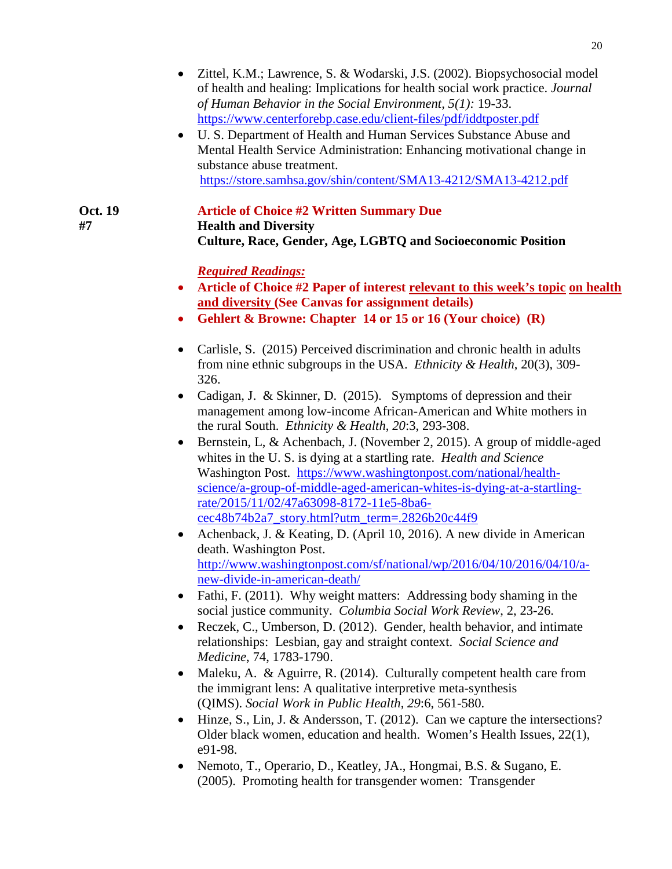- Zittel, K.M.; Lawrence, S. & Wodarski, J.S. (2002). Biopsychosocial model of health and healing: Implications for health social work practice. *Journal of Human Behavior in the Social Environment, 5(1):* 19-33. <https://www.centerforebp.case.edu/client-files/pdf/iddtposter.pdf>
- U. S. Department of Health and Human Services Substance Abuse and Mental Health Service Administration: Enhancing motivational change in substance abuse treatment. <https://store.samhsa.gov/shin/content/SMA13-4212/SMA13-4212.pdf>

**Oct. 19 Article of Choice #2 Written Summary Due #7 Health and Diversity Culture, Race, Gender, Age, LGBTQ and Socioeconomic Position**

- **Article of Choice #2 Paper of interest relevant to this week's topic on health and diversity (See Canvas for assignment details)**
- **Gehlert & Browne: Chapter 14 or 15 or 16 (Your choice) (R)**
- Carlisle, S. (2015) Perceived discrimination and chronic health in adults from nine ethnic subgroups in the USA. *Ethnicity & Health*, 20(3), 309- 326.
- Cadigan, J. & Skinner, D. (2015). Symptoms of depression and their management among low-income African-American and White mothers in the rural South. *Ethnicity & Health*, *20*:3, 293-308.
- Bernstein, L, & Achenbach, J. (November 2, 2015). A group of middle-aged whites in the U. S. is dying at a startling rate. *Health and Science* Washington Post. [https://www.washingtonpost.com/national/health](https://www.washingtonpost.com/national/health-science/a-group-of-middle-aged-american-whites-is-dying-at-a-startling-rate/2015/11/02/47a63098-8172-11e5-8ba6-cec48b74b2a7_story.html?utm_term=.2826b20c44f9)[science/a-group-of-middle-aged-american-whites-is-dying-at-a-startling](https://www.washingtonpost.com/national/health-science/a-group-of-middle-aged-american-whites-is-dying-at-a-startling-rate/2015/11/02/47a63098-8172-11e5-8ba6-cec48b74b2a7_story.html?utm_term=.2826b20c44f9)[rate/2015/11/02/47a63098-8172-11e5-8ba6](https://www.washingtonpost.com/national/health-science/a-group-of-middle-aged-american-whites-is-dying-at-a-startling-rate/2015/11/02/47a63098-8172-11e5-8ba6-cec48b74b2a7_story.html?utm_term=.2826b20c44f9) [cec48b74b2a7\\_story.html?utm\\_term=.2826b20c44f9](https://www.washingtonpost.com/national/health-science/a-group-of-middle-aged-american-whites-is-dying-at-a-startling-rate/2015/11/02/47a63098-8172-11e5-8ba6-cec48b74b2a7_story.html?utm_term=.2826b20c44f9)
- Achenback, J. & Keating, D. (April 10, 2016). A new divide in American death. Washington Post. [http://www.washingtonpost.com/sf/national/wp/2016/04/10/2016/04/10/a](http://www.washingtonpost.com/sf/national/wp/2016/04/10/2016/04/10/a-new-divide-in-american-death/)[new-divide-in-american-death/](http://www.washingtonpost.com/sf/national/wp/2016/04/10/2016/04/10/a-new-divide-in-american-death/)
- Fathi, F. (2011). Why weight matters: Addressing body shaming in the social justice community. *Columbia Social Work Review*, 2, 23-26.
- Reczek, C., Umberson, D. (2012). Gender, health behavior, and intimate relationships: Lesbian, gay and straight context. *Social Science and Medicine*, 74, 1783-1790.
- Maleku, A. & Aguirre, R. (2014). Culturally competent health care from the immigrant lens: A qualitative interpretive meta-synthesis (QIMS). *Social Work in Public Health*, *29*:6, 561-580.
- Hinze, S., Lin, J. & Andersson, T. (2012). Can we capture the intersections? Older black women, education and health. Women's Health Issues, 22(1), e91-98.
- Nemoto, T., Operario, D., Keatley, JA., Hongmai, B.S. & Sugano, E. (2005). Promoting health for transgender women: Transgender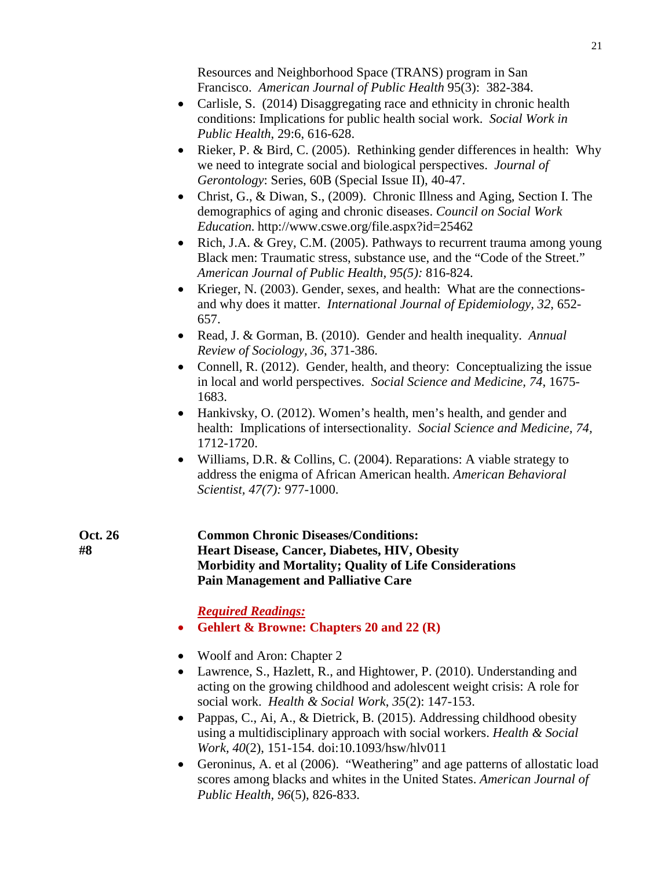Resources and Neighborhood Space (TRANS) program in San Francisco. *American Journal of Public Health* 95(3): 382-384.

- Carlisle, S. (2014) Disaggregating race and ethnicity in chronic health conditions: Implications for public health social work. *Social Work in Public Health*, 29:6, 616-628.
- Rieker, P. & Bird, C. (2005). Rethinking gender differences in health: Why we need to integrate social and biological perspectives. *Journal of Gerontology*: Series, 60B (Special Issue II), 40-47.
- Christ, G., & Diwan, S., (2009). Chronic Illness and Aging, Section I. The demographics of aging and chronic diseases. *Council on Social Work Education.* http://www.cswe.org/file.aspx?id=25462
- Rich, J.A. & Grey, C.M. (2005). Pathways to recurrent trauma among young Black men: Traumatic stress, substance use, and the "Code of the Street." *American Journal of Public Health, 95(5):* 816-824.
- Krieger, N. (2003). Gender, sexes, and health: What are the connectionsand why does it matter. *International Journal of Epidemiology, 32*, 652- 657.
- Read, J. & Gorman, B. (2010). Gender and health inequality. *Annual Review of Sociology, 36*, 371-386.
- Connell, R. (2012). Gender, health, and theory: Conceptualizing the issue in local and world perspectives. *Social Science and Medicine, 74*, 1675- 1683.
- Hankivsky, O. (2012). Women's health, men's health, and gender and health: Implications of intersectionality. *Social Science and Medicine, 74,* 1712-1720.
- Williams, D.R. & Collins, C. (2004). Reparations: A viable strategy to address the enigma of African American health. *American Behavioral Scientist, 47(7):* 977-1000.
- **Oct. 26 Common Chronic Diseases/Conditions: #8 Heart Disease, Cancer, Diabetes, HIV, Obesity Morbidity and Mortality; Quality of Life Considerations Pain Management and Palliative Care**

- **Gehlert & Browne: Chapters 20 and 22 (R)**
- Woolf and Aron: Chapter 2
- Lawrence, S., Hazlett, R., and Hightower, P. (2010). Understanding and acting on the growing childhood and adolescent weight crisis: A role for social work. *Health & Social Work*, *35*(2): 147-153.
- Pappas, C., Ai, A., & Dietrick, B. (2015). Addressing childhood obesity using a multidisciplinary approach with social workers. *Health & Social Work, 40*(2), 151-154. doi:10.1093/hsw/hlv011
- Geroninus, A. et al (2006). "Weathering" and age patterns of allostatic load scores among blacks and whites in the United States. *American Journal of Public Health, 96*(5), 826-833.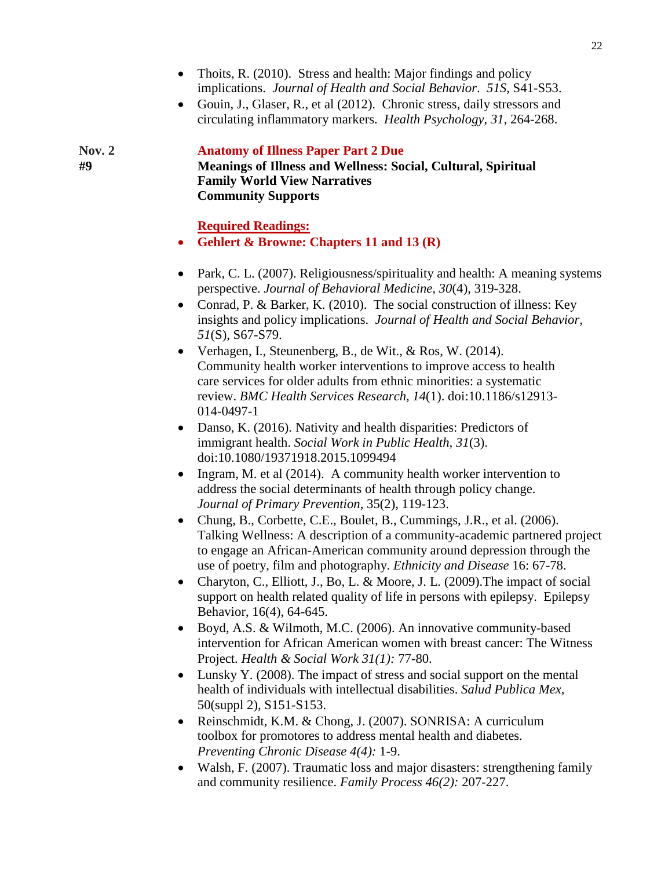- Thoits, R. (2010). Stress and health: Major findings and policy implications. *Journal of Health and Social Behavior*. *51S*, S41-S53.
- Gouin, J., Glaser, R., et al (2012). Chronic stress, daily stressors and circulating inflammatory markers. *Health Psychology, 31*, 264-268.

#### **Nov. 2 Anatomy of Illness Paper Part 2 Due**

**#9 Meanings of Illness and Wellness: Social, Cultural, Spiritual Family World View Narratives Community Supports**

- **Gehlert & Browne: Chapters 11 and 13 (R)**
- Park, C. L. (2007). Religiousness/spirituality and health: A meaning systems perspective. *Journal of Behavioral Medicine, 30*(4), 319-328.
- Conrad, P. & Barker, K. (2010). The social construction of illness: Key insights and policy implications. *Journal of Health and Social Behavior, 51*(S), S67-S79.
- Verhagen, I., Steunenberg, B., de Wit., & Ros, W. (2014). Community health worker interventions to improve access to health care services for older adults from ethnic minorities: a systematic review. *BMC Health Services Research, 14*(1). doi:10.1186/s12913- 014-0497-1
- Danso, K. (2016). Nativity and health disparities: Predictors of immigrant health. *Social Work in Public Health, 31*(3). doi:10.1080/19371918.2015.1099494
- Ingram, M. et al (2014). A community health worker intervention to address the social determinants of health through policy change. *Journal of Primary Prevention*, 35(2), 119-123.
- Chung, B., Corbette, C.E., Boulet, B., Cummings, J.R., et al. (2006). Talking Wellness: A description of a community-academic partnered project to engage an African-American community around depression through the use of poetry, film and photography. *Ethnicity and Disease* 16: 67-78.
- Charyton, C., Elliott, J., Bo, L. & Moore, J. L. (2009). The impact of social support on health related quality of life in persons with epilepsy. Epilepsy Behavior, 16(4), 64-645.
- Boyd, A.S. & Wilmoth, M.C. (2006). An innovative community-based intervention for African American women with breast cancer: The Witness Project. *Health & Social Work 31(1):* 77-80.
- Lunsky Y. (2008). The impact of stress and social support on the mental health of individuals with intellectual disabilities. *Salud Publica Mex*, 50(suppl 2), S151-S153.
- Reinschmidt, K.M. & Chong, J. (2007). SONRISA: A curriculum toolbox for promotores to address mental health and diabetes. *Preventing Chronic Disease 4(4):* 1-9.
- Walsh, F. (2007). Traumatic loss and major disasters: strengthening family and community resilience. *Family Process 46(2):* 207-227.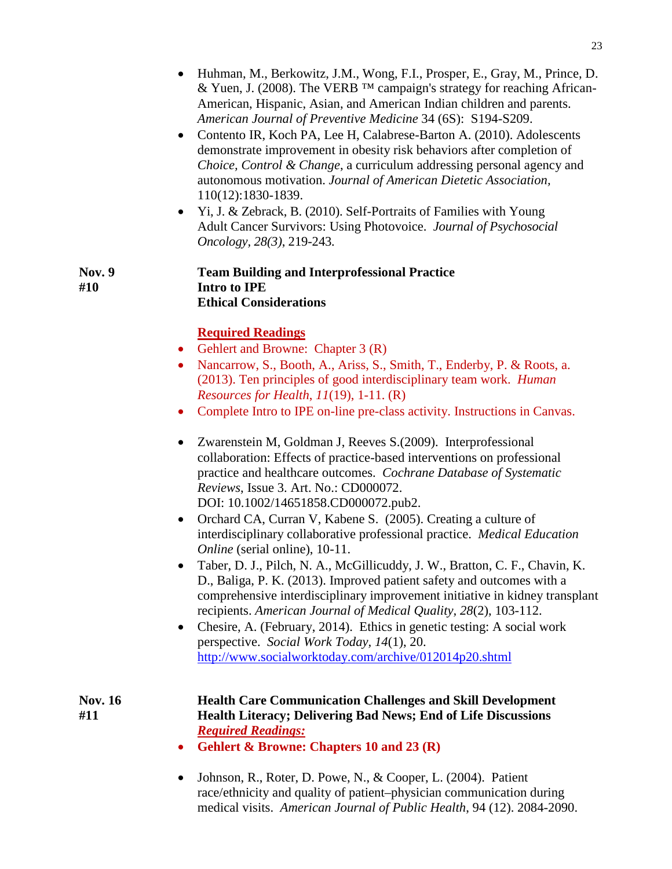- Huhman, M., Berkowitz, J.M., Wong, F.I., Prosper, E., Gray, M., Prince, D. & Yuen, J. (2008). The VERB ™ campaign's strategy for reaching African-American, Hispanic, Asian, and American Indian children and parents. *American Journal of Preventive Medicine* 34 (6S): S194-S209.
- Contento IR, Koch PA, Lee H, Calabrese-Barton A. (2010). Adolescents demonstrate improvement in obesity risk behaviors after completion of *Choice, Control & Change*, a curriculum addressing personal agency and autonomous motivation. *Journal of American Dietetic Association,*  110(12):1830-1839.
- Yi, J. & Zebrack, B. (2010). Self-Portraits of Families with Young Adult Cancer Survivors: Using Photovoice. *Journal of Psychosocial Oncology, 28(3)*, 219-243*.*

#### **Nov. 9 Team Building and Interprofessional Practice #10 Intro to IPE Ethical Considerations**

# **Required Readings**

- Gehlert and Browne: Chapter 3 (R)
- Nancarrow, S., Booth, A., Ariss, S., Smith, T., Enderby, P. & Roots, a. (2013). Ten principles of good interdisciplinary team work. *Human Resources for Health*, *11*(19), 1-11. (R)
- Complete Intro to IPE on-line pre-class activity. Instructions in Canvas.
- Zwarenstein M, Goldman J, Reeves S.(2009). Interprofessional collaboration: Effects of practice-based interventions on professional practice and healthcare outcomes. *Cochrane Database of Systematic Reviews*, Issue 3. Art. No.: CD000072. DOI: 10.1002/14651858.CD000072.pub2.
- Orchard CA, Curran V, Kabene S. (2005). Creating a culture of interdisciplinary collaborative professional practice. *Medical Education Online* (serial online), 10-11.
- Taber, D. J., Pilch, N. A., McGillicuddy, J. W., Bratton, C. F., Chavin, K. D., Baliga, P. K. (2013). Improved patient safety and outcomes with a comprehensive interdisciplinary improvement initiative in kidney transplant recipients. *American Journal of Medical Quality, 28*(2), 103-112.
- Chesire, A. (February, 2014). Ethics in genetic testing: A social work perspective. *Social Work Today, 14*(1), 20. <http://www.socialworktoday.com/archive/012014p20.shtml>

### **Nov. 16 Health Care Communication Challenges and Skill Development #11 Health Literacy; Delivering Bad News; End of Life Discussions** *Required Readings:*

- **Gehlert & Browne: Chapters 10 and 23 (R)**
- Johnson, R., Roter, D. Powe, N., & Cooper, L. (2004). Patient race/ethnicity and quality of patient–physician communication during medical visits. *American Journal of Public Health*, 94 (12). 2084-2090.